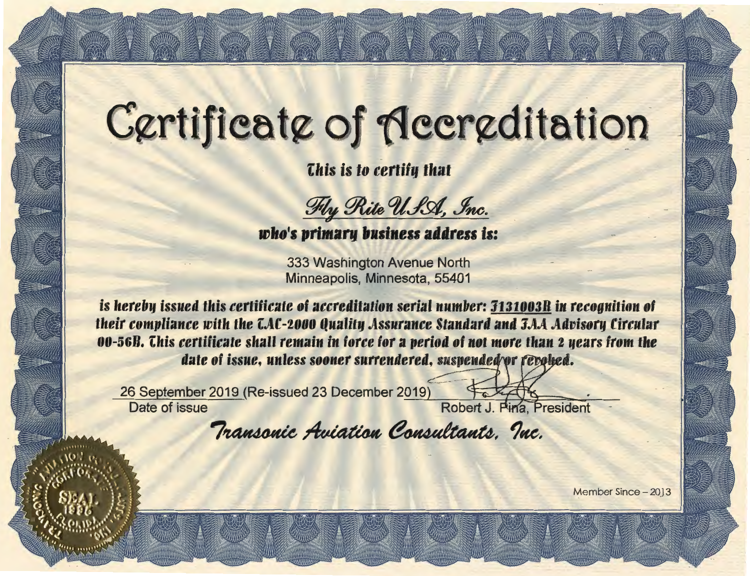## Certificate of Accreditation

This is to certify that

Fly Rite USA, Inc.

who's primary business address is:

333 Washington Avenue North Minneapolis, Minnesota, 55401

<u>is hereby issued this certificate of accreditation serial number: 3131003R in recognition of</u> their compliance with the CAC-2000 Quality Assurance Standard and J.A.A Advisory Circular 00-56B. This certificate shall remain in force for a period of not more than 2 years from the date of issue, unless sooner surrendered, suspended or revolted.

26 September 2019 (Re-issued 23 December 2019) Date of issue

Robert J. Pina, President

Transonic Aviation Consultants. Inc.

Member Since - 2013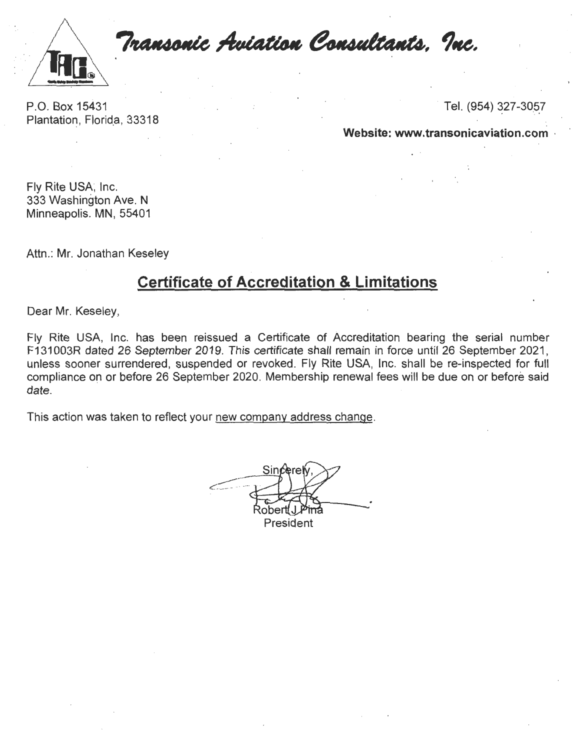

Transonic Aviation Consultants. Inc.

P.O. Box 15431 Plantation, Florida, 33318 Tel. (954) 327-3057

**Website: www.transonicaviation.com** ,

Fly Rite USA; Inc. 333 Washington Ave. N Minneapolis. MN, 55401

Attn.: Mr. Jonathan Keseley

## **Certificate of Accreditation & Limitations**

Dear Mr. Keseley,

Fly Rite USA, Inc. has been reissued a Certificate of Accreditation bearing the serial number F131 003R dated 26 September 2019. This certificate shall remain in force until 26 September 2021, unless sooner surrendered, suspended or revoked. Fly Rite USA, Inc. shall be re-inspected for full compliance on or before 26 September 2020. Membership renewal fees will be due on or before said date.

This action was taken to reflect your new company address change.

.----··  $\overline{\phantom{a}}$ President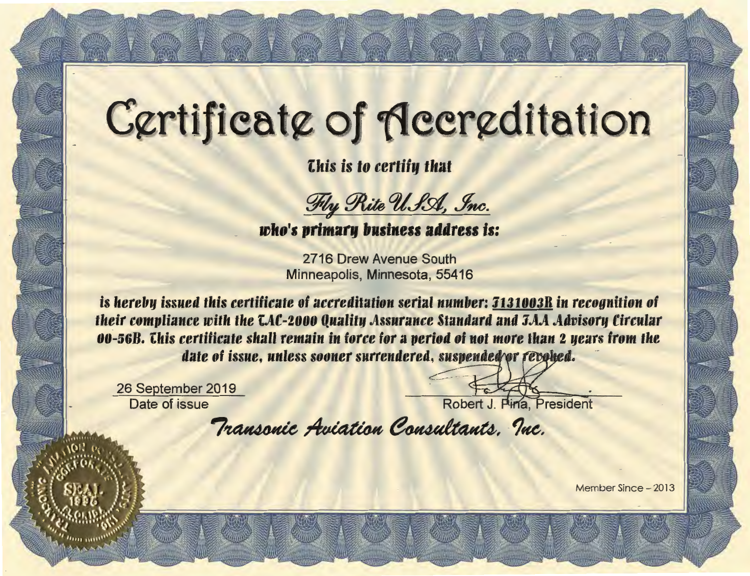## Certificate of Accreditation

*Chis is to certify that* 

Fly Rite USA, Inc.

who's primary business address is:

2716 Drew Avenue South Minneapolis, Minnesota, 55416

is hereby issued this certificate of accreditation serial number: 3131003R in recognition of their compliance with the CAC-2000 Quality Assurance Standard and JAA Advisory Circular 00-56B. This certificate shall remain in force for a period of not more than 2 years from the date of issue, unless sooner surrendered, suspended for revolted.

26 September 2019 Date of issue

Robert J. Pina, President

Transonic Aviation Consultants, Inc.

Member Since - 2013